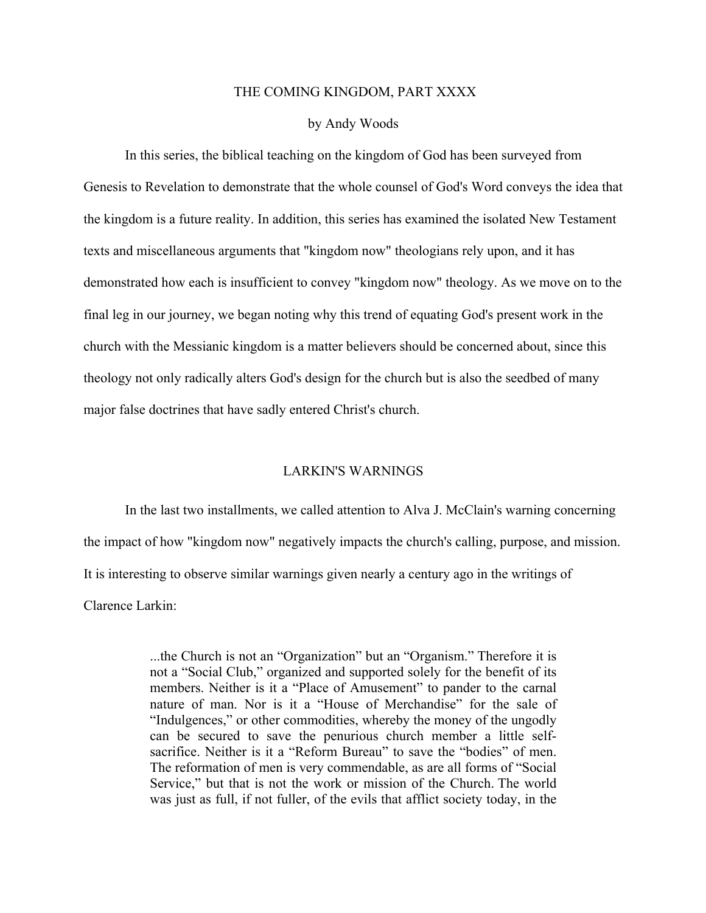## THE COMING KINGDOM, PART XXXX

## by Andy Woods

In this series, the biblical teaching on the kingdom of God has been surveyed from Genesis to Revelation to demonstrate that the whole counsel of God's Word conveys the idea that the kingdom is a future reality. In addition, this series has examined the isolated New Testament texts and miscellaneous arguments that "kingdom now" theologians rely upon, and it has demonstrated how each is insufficient to convey "kingdom now" theology. As we move on to the final leg in our journey, we began noting why this trend of equating God's present work in the church with the Messianic kingdom is a matter believers should be concerned about, since this theology not only radically alters God's design for the church but is also the seedbed of many major false doctrines that have sadly entered Christ's church.

## LARKIN'S WARNINGS

In the last two installments, we called attention to Alva J. McClain's warning concerning the impact of how "kingdom now" negatively impacts the church's calling, purpose, and mission. It is interesting to observe similar warnings given nearly a century ago in the writings of Clarence Larkin:

> ...the Church is not an "Organization" but an "Organism." Therefore it is not a "Social Club," organized and supported solely for the benefit of its members. Neither is it a "Place of Amusement" to pander to the carnal nature of man. Nor is it a "House of Merchandise" for the sale of "Indulgences," or other commodities, whereby the money of the ungodly can be secured to save the penurious church member a little selfsacrifice. Neither is it a "Reform Bureau" to save the "bodies" of men. The reformation of men is very commendable, as are all forms of "Social Service," but that is not the work or mission of the Church. The world was just as full, if not fuller, of the evils that afflict society today, in the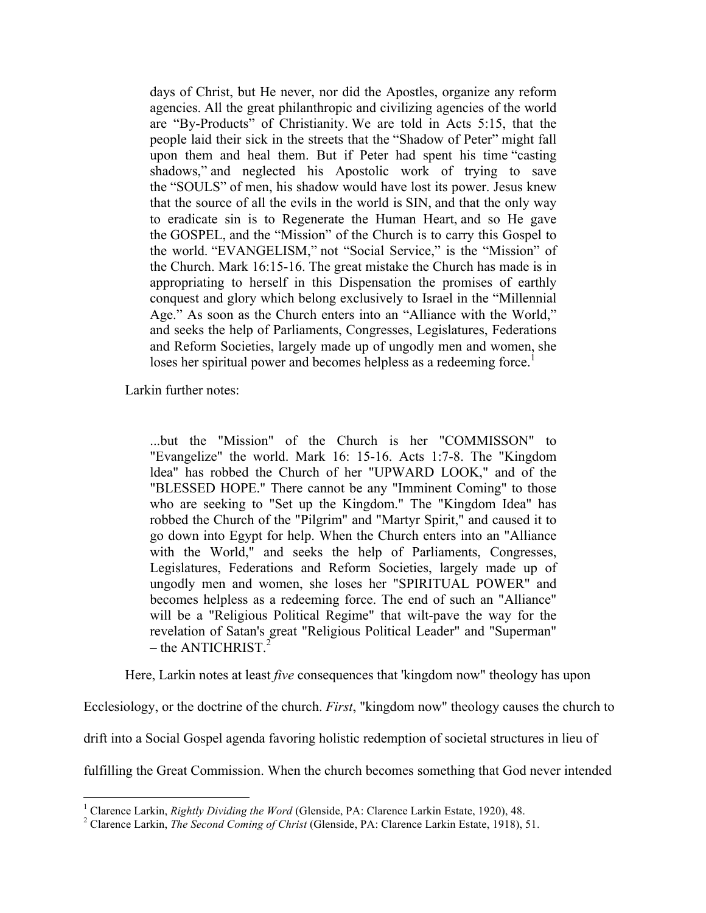days of Christ, but He never, nor did the Apostles, organize any reform agencies. All the great philanthropic and civilizing agencies of the world are "By-Products" of Christianity. We are told in Acts 5:15, that the people laid their sick in the streets that the "Shadow of Peter" might fall upon them and heal them. But if Peter had spent his time "casting shadows," and neglected his Apostolic work of trying to save the "SOULS" of men, his shadow would have lost its power. Jesus knew that the source of all the evils in the world is SIN, and that the only way to eradicate sin is to Regenerate the Human Heart, and so He gave the GOSPEL, and the "Mission" of the Church is to carry this Gospel to the world. "EVANGELISM," not "Social Service," is the "Mission" of the Church. Mark 16:15-16. The great mistake the Church has made is in appropriating to herself in this Dispensation the promises of earthly conquest and glory which belong exclusively to Israel in the "Millennial Age." As soon as the Church enters into an "Alliance with the World," and seeks the help of Parliaments, Congresses, Legislatures, Federations and Reform Societies, largely made up of ungodly men and women, she loses her spiritual power and becomes helpless as a redeeming force.<sup>1</sup>

Larkin further notes:

...but the "Mission" of the Church is her "COMMISSON" to "Evangelize" the world. Mark 16: 15-16. Acts 1:7-8. The "Kingdom ldea" has robbed the Church of her "UPWARD LOOK," and of the "BLESSED HOPE." There cannot be any "Imminent Coming" to those who are seeking to "Set up the Kingdom." The "Kingdom Idea" has robbed the Church of the "Pilgrim" and "Martyr Spirit," and caused it to go down into Egypt for help. When the Church enters into an "Alliance with the World," and seeks the help of Parliaments, Congresses, Legislatures, Federations and Reform Societies, largely made up of ungodly men and women, she loses her "SPIRITUAL POWER" and becomes helpless as a redeeming force. The end of such an "Alliance" will be a "Religious Political Regime" that wilt-pave the way for the revelation of Satan's great "Religious Political Leader" and "Superman"  $-$  the ANTICHRIST.<sup>2</sup>

Here, Larkin notes at least *five* consequences that 'kingdom now" theology has upon

Ecclesiology, or the doctrine of the church. *First*, "kingdom now" theology causes the church to

drift into a Social Gospel agenda favoring holistic redemption of societal structures in lieu of

fulfilling the Great Commission. When the church becomes something that God never intended

<sup>&</sup>lt;sup>1</sup> Clarence Larkin, *Rightly Dividing the Word* (Glenside, PA: Clarence Larkin Estate, 1920), 48.<br><sup>2</sup> Clarence Larkin, *The Second Coming of Christ* (Glenside, PA: Clarence Larkin Estate, 1918), 51.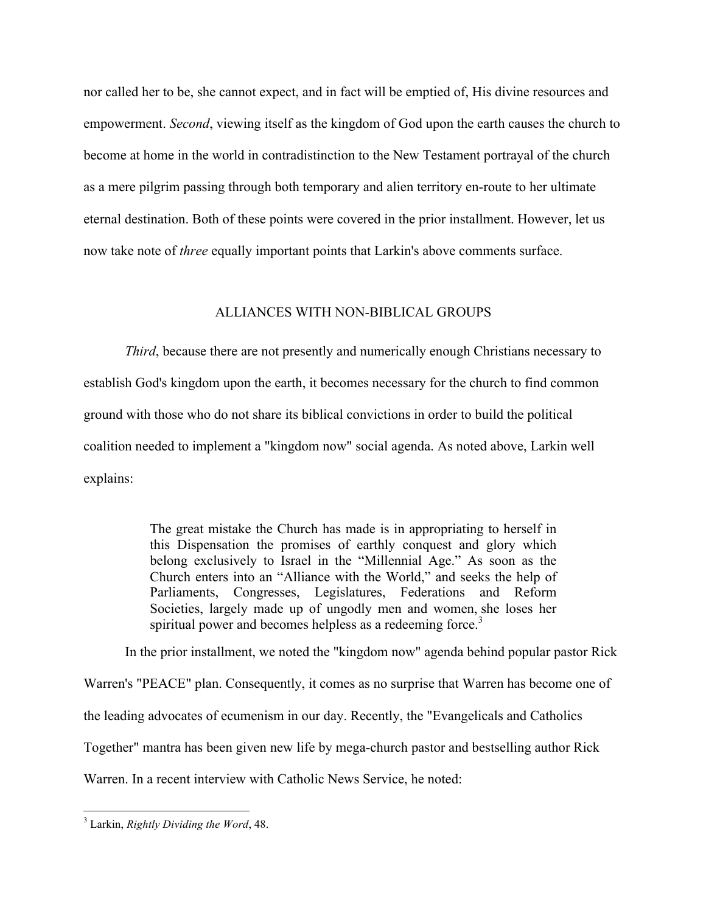nor called her to be, she cannot expect, and in fact will be emptied of, His divine resources and empowerment. *Second*, viewing itself as the kingdom of God upon the earth causes the church to become at home in the world in contradistinction to the New Testament portrayal of the church as a mere pilgrim passing through both temporary and alien territory en-route to her ultimate eternal destination. Both of these points were covered in the prior installment. However, let us now take note of *three* equally important points that Larkin's above comments surface.

## ALLIANCES WITH NON-BIBLICAL GROUPS

*Third*, because there are not presently and numerically enough Christians necessary to establish God's kingdom upon the earth, it becomes necessary for the church to find common ground with those who do not share its biblical convictions in order to build the political coalition needed to implement a "kingdom now" social agenda. As noted above, Larkin well explains:

> The great mistake the Church has made is in appropriating to herself in this Dispensation the promises of earthly conquest and glory which belong exclusively to Israel in the "Millennial Age." As soon as the Church enters into an "Alliance with the World," and seeks the help of Parliaments, Congresses, Legislatures, Federations and Reform Societies, largely made up of ungodly men and women, she loses her spiritual power and becomes helpless as a redeeming force.<sup>3</sup>

In the prior installment, we noted the "kingdom now" agenda behind popular pastor Rick

Warren's "PEACE" plan. Consequently, it comes as no surprise that Warren has become one of

the leading advocates of ecumenism in our day. Recently, the "Evangelicals and Catholics

Together" mantra has been given new life by mega-church pastor and bestselling author Rick

Warren. In a recent interview with Catholic News Service, he noted:

 <sup>3</sup> Larkin, *Rightly Dividing the Word*, 48.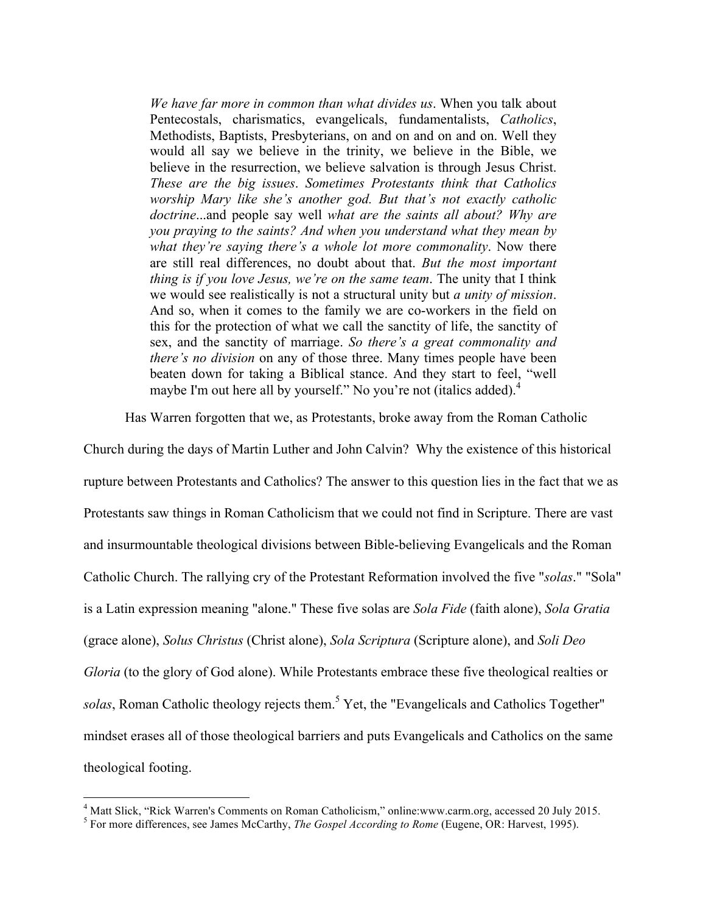*We have far more in common than what divides us*. When you talk about Pentecostals, charismatics, evangelicals, fundamentalists, *Catholics*, Methodists, Baptists, Presbyterians, on and on and on and on. Well they would all say we believe in the trinity, we believe in the Bible, we believe in the resurrection, we believe salvation is through Jesus Christ. *These are the big issues*. *Sometimes Protestants think that Catholics worship Mary like she's another god. But that's not exactly catholic doctrine*...and people say well *what are the saints all about? Why are you praying to the saints? And when you understand what they mean by what they're saying there's a whole lot more commonality*. Now there are still real differences, no doubt about that. *But the most important thing is if you love Jesus, we're on the same team*. The unity that I think we would see realistically is not a structural unity but *a unity of mission*. And so, when it comes to the family we are co-workers in the field on this for the protection of what we call the sanctity of life, the sanctity of sex, and the sanctity of marriage. *So there's a great commonality and there's no division* on any of those three. Many times people have been beaten down for taking a Biblical stance. And they start to feel, "well maybe I'm out here all by yourself." No you're not (italics added).<sup>4</sup>

Has Warren forgotten that we, as Protestants, broke away from the Roman Catholic

Church during the days of Martin Luther and John Calvin? Why the existence of this historical rupture between Protestants and Catholics? The answer to this question lies in the fact that we as Protestants saw things in Roman Catholicism that we could not find in Scripture. There are vast and insurmountable theological divisions between Bible-believing Evangelicals and the Roman Catholic Church. The rallying cry of the Protestant Reformation involved the five "*solas*." "Sola" is a Latin expression meaning "alone." These five solas are *Sola Fide* (faith alone), *Sola Gratia* (grace alone), *Solus Christus* (Christ alone), *Sola Scriptura* (Scripture alone), and *Soli Deo Gloria* (to the glory of God alone). While Protestants embrace these five theological realties or solas, Roman Catholic theology rejects them.<sup>5</sup> Yet, the "Evangelicals and Catholics Together" mindset erases all of those theological barriers and puts Evangelicals and Catholics on the same theological footing.

<sup>4</sup> Matt Slick, "Rick Warren's Comments on Roman Catholicism," online:www.carm.org, accessed 20 July 2015. <sup>5</sup> For more differences, see James McCarthy, *The Gospel According to Rome* (Eugene, OR: Harvest, 1995).